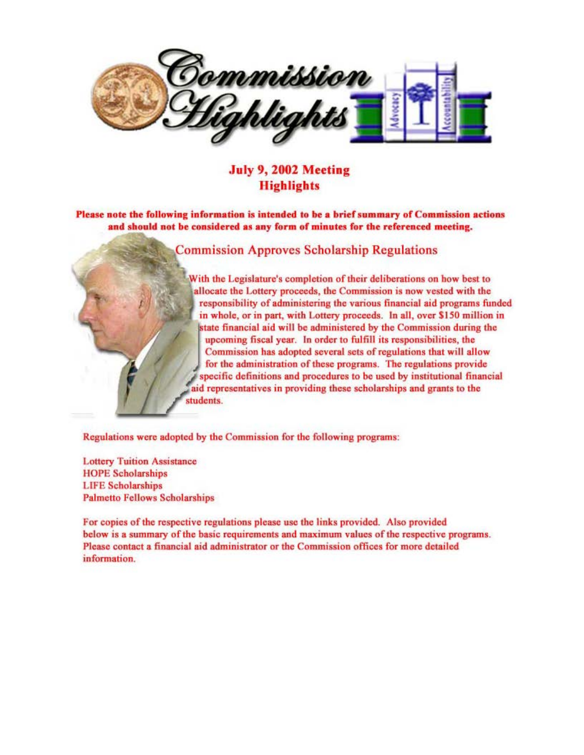

July 9, 2002 Meeting **Highlights** 

Please note the following information is intended to be a brief summary of Commission actions and should not be considered as any form of minutes for the referenced meeting.

Commission Approves Scholarship Regulations

With the Legislature's completion of their deliberations on bow best to J allocate the Lottery proceeds, the Commission is now vested with the responsibility of administering the various financial aid programs funded in whole, or in part, with Lottery proceeds. In all, over \$1 SO million in upcoming fiscal year. In order to fulfill its responsibilities, the<br>Commission has adopted several sets of regulations that will allow<br>for the administration of these programs. The regulations provide<br>specific definitions state financial aid will be administered by the Commission during the upcoming fiscal year. In order to fulfill its responsibilities, the Commission has adopted several sets of regulations that will allow for the administration of these programs. The regulations provide aid representatives in providing these scholarships and grants to the students.

Regulations were adopted by the Commission for the following programs:

Lottery Tuition Assistance HOPE Scholarships LIFE Scholarships Palmetto Fellows Scholarships

 $\frac{1}{2}$ 

For copies of the respective regulations please use the links provided. Also provided below is a summary of the basic requirements and maximum values of the respective programs. Please contact a financial aid administrator or the Commission offices for more detailed **information.**